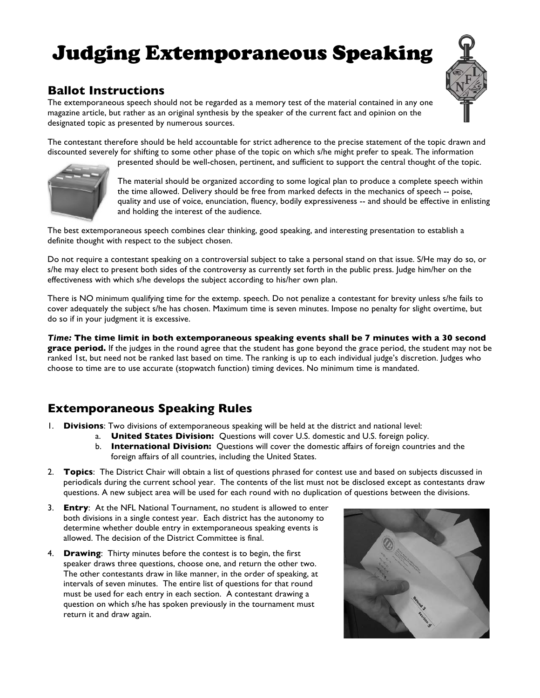## Judging Extemporaneous Speaking



## **Ballot Instructions**

The extemporaneous speech should not be regarded as a memory test of the material contained in any one magazine article, but rather as an original synthesis by the speaker of the current fact and opinion on the designated topic as presented by numerous sources.

The contestant therefore should be held accountable for strict adherence to the precise statement of the topic drawn and discounted severely for shifting to some other phase of the topic on which s/he might prefer to speak. The information

presented should be well-chosen, pertinent, and sufficient to support the central thought of the topic.



The material should be organized according to some logical plan to produce a complete speech within the time allowed. Delivery should be free from marked defects in the mechanics of speech -- poise, quality and use of voice, enunciation, fluency, bodily expressiveness -- and should be effective in enlisting and holding the interest of the audience.

The best extemporaneous speech combines clear thinking, good speaking, and interesting presentation to establish a definite thought with respect to the subject chosen.

Do not require a contestant speaking on a controversial subject to take a personal stand on that issue. S/He may do so, or s/he may elect to present both sides of the controversy as currently set forth in the public press. Judge him/her on the effectiveness with which s/he develops the subject according to his/her own plan.

There is NO minimum qualifying time for the extemp. speech. Do not penalize a contestant for brevity unless s/he fails to cover adequately the subject s/he has chosen. Maximum time is seven minutes. Impose no penalty for slight overtime, but do so if in your judgment it is excessive.

*Time:* **The time limit in both extemporaneous speaking events shall be 7 minutes with a 30 second grace period.** If the judges in the round agree that the student has gone beyond the grace period, the student may not be ranked 1st, but need not be ranked last based on time. The ranking is up to each individual judge's discretion. Judges who choose to time are to use accurate (stopwatch function) timing devices. No minimum time is mandated.

## **Extemporaneous Speaking Rules**

- 1. **Divisions**: Two divisions of extemporaneous speaking will be held at the district and national level:
	- a. **United States Division:** Questions will cover U.S. domestic and U.S. foreign policy.
	- b. **International Division:** Questions will cover the domestic affairs of foreign countries and the foreign affairs of all countries, including the United States.
- 2. **Topics**: The District Chair will obtain a list of questions phrased for contest use and based on subjects discussed in periodicals during the current school year. The contents of the list must not be disclosed except as contestants draw questions. A new subject area will be used for each round with no duplication of questions between the divisions.
- 3. **Entry**: At the NFL National Tournament, no student is allowed to enter both divisions in a single contest year. Each district has the autonomy to determine whether double entry in extemporaneous speaking events is allowed. The decision of the District Committee is final.
- 4. **Drawing**: Thirty minutes before the contest is to begin, the first speaker draws three questions, choose one, and return the other two. The other contestants draw in like manner, in the order of speaking, at intervals of seven minutes. The entire list of questions for that round must be used for each entry in each section. A contestant drawing a question on which s/he has spoken previously in the tournament must return it and draw again.

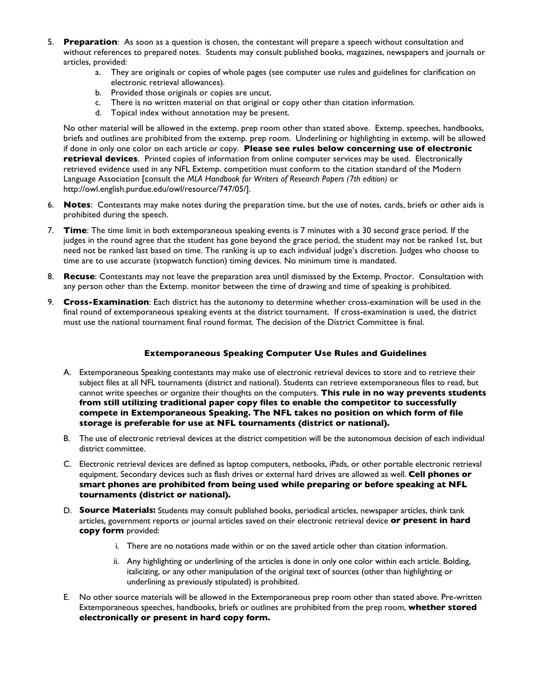- 5. **Preparation**: As soon as a question is chosen, the contestant will prepare a speech without consultation and without references to prepared notes. Students may consult published books, magazines, newspapers and journals or articles, provided:
	- a. They are originals or copies of whole pages (see computer use rules and guidelines for clarification on electronic retrieval allowances).
	- b. Provided those originals or copies are uncut.
	- c. There is no written material on that original or copy other than citation information.
	- d. Topical index without annotation may be present.

No other material will be allowed in the extemp. prep room other than stated above. Extemp. speeches, handbooks, briefs and outlines are prohibited from the extemp. prep room. Underlining or highlighting in extemp. will be allowed if done in only one color on each article or copy. **Please see rules below concerning use of electronic retrieval devices**. Printed copies of information from online computer services may be used. Electronically retrieved evidence used in any NFL Extemp. competition must conform to the citation standard of the Modern Language Association [consult the *MLA Handbook for Writers of Research Papers (7th edition)* or http://owl.english.purdue.edu/owl/resource/747/05/].

- 6. **Notes**: Contestants may make notes during the preparation time, but the use of notes, cards, briefs or other aids is prohibited during the speech.
- 7. **Time**: The time limit in both extemporaneous speaking events is 7 minutes with a 30 second grace period. If the judges in the round agree that the student has gone beyond the grace period, the student may not be ranked 1st, but need not be ranked last based on time. The ranking is up to each individual judge's discretion. Judges who choose to time are to use accurate (stopwatch function) timing devices. No minimum time is mandated.
- 8. **Recuse**: Contestants may not leave the preparation area until dismissed by the Extemp. Proctor. Consultation with any person other than the Extemp. monitor between the time of drawing and time of speaking is prohibited.
- 9. **Cross-Examination**: Each district has the autonomy to determine whether cross-examination will be used in the final round of extemporaneous speaking events at the district tournament. If cross-examination is used, the district must use the national tournament final round format. The decision of the District Committee is final.

## **Extemporaneous Speaking Computer Use Rules and Guidelines**

- A. Extemporaneous Speaking contestants may make use of electronic retrieval devices to store and to retrieve their subject files at all NFL tournaments (district and national). Students can retrieve extemporaneous files to read, but cannot write speeches or organize their thoughts on the computers. **This rule in no way prevents students from still utilizing traditional paper copy files to enable the competitor to successfully compete in Extemporaneous Speaking. The NFL takes no position on which form of file storage is preferable for use at NFL tournaments (district or national).**
- B. The use of electronic retrieval devices at the district competition will be the autonomous decision of each individual district committee.
- C. Electronic retrieval devices are defined as laptop computers, netbooks, iPads, or other portable electronic retrieval equipment. Secondary devices such as flash drives or external hard drives are allowed as well. **Cell phones or smart phones are prohibited from being used while preparing or before speaking at NFL tournaments (district or national).**
- D. **Source Materials:** Students may consult published books, periodical articles, newspaper articles, think tank articles, government reports or journal articles saved on their electronic retrieval device **or present in hard copy form** provided:
	- i. There are no notations made within or on the saved article other than citation information.
	- ii. Any highlighting or underlining of the articles is done in only one color within each article. Bolding, italicizing, or any other manipulation of the original text of sources (other than highlighting or underlining as previously stipulated) is prohibited.
- E. No other source materials will be allowed in the Extemporaneous prep room other than stated above. Pre-written Extemporaneous speeches, handbooks, briefs or outlines are prohibited from the prep room, **whether stored electronically or present in hard copy form.**